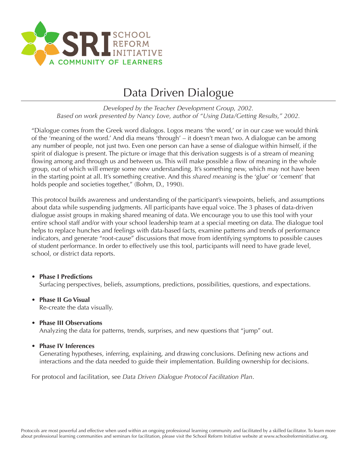

### Data Driven Dialogue

*Developed by the Teacher Development Group, 2002. Based on work presented by Nancy Love, author of "Using Data/Getting Results," 2002.*

"Dialogue comes from the Greek word dialogos. Logos means 'the word,' or in our case we would think of the 'meaning of the word.' And dia means 'through' – it doesn't mean two. A dialogue can be among any number of people, not just two. Even one person can have a sense of dialogue within himself, if the spirit of dialogue is present. The picture or image that this derivation suggests is of a stream of meaning flowing among and through us and between us. This will make possible a flow of meaning in the whole group, out of which will emerge some new understanding. It's something new, which may not have been in the starting point at all. It's something creative. And this *shared meaning* is the 'glue' or 'cement' that holds people and societies together," (Bohm, D., 1990).

This protocol builds awareness and understanding of the participant's viewpoints, beliefs, and assumptions about data while suspending judgments. All participants have equal voice. The 3 phases of data-driven dialogue assist groups in making shared meaning of data. We encourage you to use this tool with your entire school staff and/or with your school leadership team at a special meeting on data. The dialogue tool helps to replace hunches and feelings with data-based facts, examine patterns and trends of performance indicators, and generate "root-cause" discussions that move from identifying symptoms to possible causes of student performance. In order to effectively use this tool, participants will need to have grade level, school, or district data reports.

- **Phase I Predictions** Surfacing perspectives, beliefs, assumptions, predictions, possibilities, questions, and expectations.
- **Phase II Go Visual** Re-create the data visually.
- **Phase III Observations** Analyzing the data for patterns, trends, surprises, and new questions that "jump" out.
- **Phase IV Inferences**

Generating hypotheses, inferring, explaining, and drawing conclusions. Defining new actions and interactions and the data needed to guide their implementation. Building ownership for decisions.

For protocol and facilitation, see *Data Driven Dialogue Protocol Facilitation Plan*.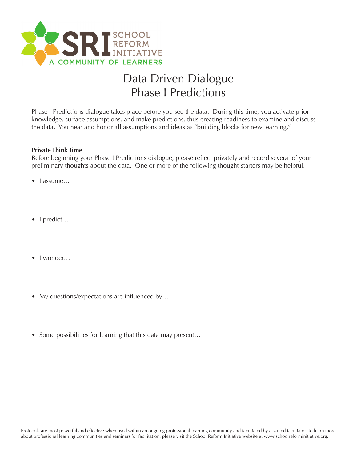

# Data Driven Dialogue Phase I Predictions

Phase I Predictions dialogue takes place before you see the data. During this time, you activate prior knowledge, surface assumptions, and make predictions, thus creating readiness to examine and discuss the data. You hear and honor all assumptions and ideas as "building blocks for new learning."

#### **Private Think Time**

Before beginning your Phase I Predictions dialogue, please reflect privately and record several of your preliminary thoughts about the data. One or more of the following thought-starters may be helpful.

- I assume…
- I predict...
- I wonder...
- My questions/expectations are influenced by...
- Some possibilities for learning that this data may present...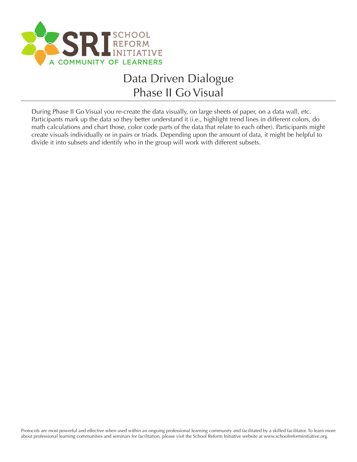

# Data Driven Dialogue Phase II Go Visual

During Phase II Go Visual you re-create the data visually, on large sheets of paper, on a data wall, etc. Participants mark up the data so they better understand it (i.e., highlight trend lines in different colors, do math calculations and chart those, color code parts of the data that relate to each other). Participants might create visuals individually or in pairs or triads. Depending upon the amount of data, it might be helpful to divide it into subsets and identify who in the group will work with different subsets.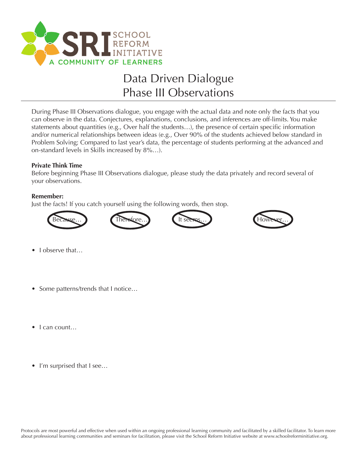

# Data Driven Dialogue Phase III Observations

During Phase III Observations dialogue, you engage with the actual data and note only the facts that you can observe in the data. Conjectures, explanations, conclusions, and inferences are off-limits. You make statements about quantities (e.g., Over half the students…), the presence of certain specific information and/or numerical relationships between ideas (e.g., Over 90% of the students achieved below standard in Problem Solving; Compared to last year's data, the percentage of students performing at the advanced and on-standard levels in Skills increased by 8%…).

### **Private Think Time**

Before beginning Phase III Observations dialogue, please study the data privately and record several of your observations.

### **Remember:**

Just the facts! If you catch yourself using the following words, then stop.







- I observe that...
- Some patterns/trends that I notice…
- I can count...
- I'm surprised that I see...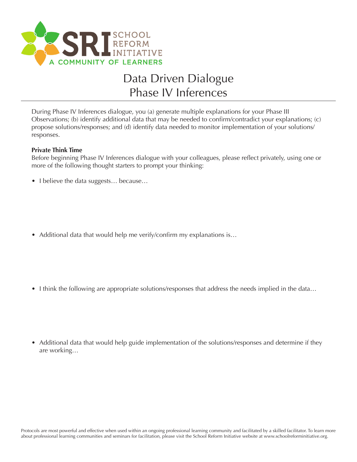

# Data Driven Dialogue Phase IV Inferences

During Phase IV Inferences dialogue, you (a) generate multiple explanations for your Phase III Observations; (b) identify additional data that may be needed to confirm/contradict your explanations; (c) propose solutions/responses; and (d) identify data needed to monitor implementation of your solutions/ responses.

#### **Private Think Time**

Before beginning Phase IV Inferences dialogue with your colleagues, please reflect privately, using one or more of the following thought starters to prompt your thinking:

- I believe the data suggests... because...
- Additional data that would help me verify/confirm my explanations is...

- I think the following are appropriate solutions/responses that address the needs implied in the data...
- Additional data that would help guide implementation of the solutions/responses and determine if they are working…